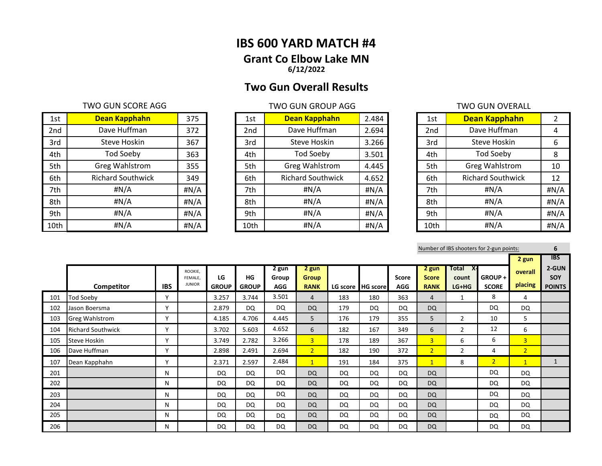# **IBS 600 YARD MATCH #4 Grant Co Elbow Lake MN 6/12/2022**

# **Two Gun Overall Results**

## TWO GUN SCORE AGG TWO GUN GROUP AGG TWO GUN GROUP AGG

| 1st  | Dean Kapphahn            | 375  | 1st  | Dean Kapphahn            | 2.484 | 1st  | Dean Kapphahn            |      |
|------|--------------------------|------|------|--------------------------|-------|------|--------------------------|------|
| 2nd  | Dave Huffman             | 372  | 2nd  | Dave Huffman             | 2.694 | 2nd  | Dave Huffman             | 4    |
| 3rd  | Steve Hoskin             | 367  | 3rd  | Steve Hoskin             | 3.266 | 3rd  | Steve Hoskin             | 6    |
| 4th  | <b>Tod Soeby</b>         | 363  | 4th  | <b>Tod Soeby</b>         | 3.501 | 4th  | <b>Tod Soeby</b>         | 8    |
| 5th  | <b>Greg Wahlstrom</b>    | 355  | 5th  | <b>Greg Wahlstrom</b>    | 4.445 | 5th  | <b>Greg Wahlstrom</b>    | 10   |
| 6th  | <b>Richard Southwick</b> | 349  | 6th  | <b>Richard Southwick</b> | 4.652 | 6th  | <b>Richard Southwick</b> | 12   |
| 7th  | #N/A                     | #N/A | 7th  | #N/A                     | #N/A  | 7th  | #N/A                     | #N/A |
| 8th  | #N/A                     | #N/A | 8th  | #N/A                     | #N/A  | 8th  | #N/A                     | #N/A |
| 9th  | #N/A                     | #N/A | 9th  | $\sharp N/A$             | #N/A  | 9th  | #N/A                     | #N/A |
| 10th | #N/A                     | #N/A | 10th | H N/A                    | #N/A  | 10th | H N/A                    | #N/A |

| 1st  | Dean Kapphahn            | 2.484 |
|------|--------------------------|-------|
| 2nd  | Dave Huffman             | 2.694 |
| 3rd  | Steve Hoskin             | 3.266 |
| 4th  | <b>Tod Soeby</b>         | 3.501 |
| 5th  | <b>Greg Wahlstrom</b>    | 4.445 |
| 6th  | <b>Richard Southwick</b> | 4.652 |
| 7th  | #N/A                     | #N/A  |
| 8th  | #N/A                     | #N/A  |
| 9th  | #N/A                     | #N/A  |
| 10th | #N/A                     | #N/A  |

| 1st             | Dean Kapphahn            | 2    |
|-----------------|--------------------------|------|
| 2 <sub>nd</sub> | Dave Huffman             | 4    |
| 3rd             | <b>Steve Hoskin</b>      | 6    |
| 4th             | <b>Tod Soeby</b>         | 8    |
| 5th             | <b>Greg Wahlstrom</b>    | 10   |
| 6th             | <b>Richard Southwick</b> | 12   |
| 7th             | #N/A                     | #N/A |
| 8th             | #N/A                     | #N/A |
| 9th             | #N/A                     | #N/A |
| 10th            | #N/A                     | #N/A |

| Number of IBS shooters for 2-gun points: |  |
|------------------------------------------|--|
|------------------------------------------|--|

|     |                          |              |                                     |                    |                    |                              |                                      |     |                   |                     |                                      |                                               |                        | 2 gun              | <b>IBS</b>                    |
|-----|--------------------------|--------------|-------------------------------------|--------------------|--------------------|------------------------------|--------------------------------------|-----|-------------------|---------------------|--------------------------------------|-----------------------------------------------|------------------------|--------------------|-------------------------------|
|     | Competitor               | <b>IBS</b>   | ROOKIE,<br>FEMALE.<br><b>JUNIOR</b> | LG<br><b>GROUP</b> | HG<br><b>GROUP</b> | 2 gun<br>Group<br><b>AGG</b> | 2 gun<br><b>Group</b><br><b>RANK</b> |     | LG score HG score | Score<br><b>AGG</b> | 2 gun<br><b>Score</b><br><b>RANK</b> | <b>Total</b><br><b>X-</b><br>count<br>$LG+HG$ | GROUP+<br><b>SCORE</b> | overall<br>placing | 2-GUN<br>SOY<br><b>POINTS</b> |
| 101 | Tod Soeby                | v            |                                     | 3.257              | 3.744              | 3.501                        | $\overline{4}$                       | 183 | 180               | 363                 | $\overline{4}$                       | 1                                             | 8                      | 4                  |                               |
| 102 | Jason Boersma            | $\checkmark$ |                                     | 2.879              | <b>DQ</b>          | DQ                           | DQ                                   | 179 | <b>DQ</b>         | DQ                  | <b>DQ</b>                            |                                               | DQ                     | <b>DQ</b>          |                               |
| 103 | <b>Greg Wahlstrom</b>    | v            |                                     | 4.185              | 4.706              | 4.445                        | 5                                    | 176 | 179               | 355                 | 5                                    | $\overline{2}$                                | 10                     | 5                  |                               |
| 104 | <b>Richard Southwick</b> | v            |                                     | 3.702              | 5.603              | 4.652                        | 6                                    | 182 | 167               | 349                 | 6                                    | 2                                             | 12                     | 6                  |                               |
| 105 | <b>Steve Hoskin</b>      | v            |                                     | 3.749              | 2.782              | 3.266                        | $\overline{3}$                       | 178 | 189               | 367                 | $\overline{3}$                       | 6                                             | 6                      | $\overline{3}$     |                               |
| 106 | Dave Huffman             | v            |                                     | 2.898              | 2.491              | 2.694                        | $\overline{2}$                       | 182 | 190               | 372                 | $\overline{2}$                       | $\overline{2}$                                | 4                      | $\overline{2}$     |                               |
| 107 | Dean Kapphahn            | v            |                                     | 2.371              | 2.597              | 2.484                        | $\mathbf{1}$                         | 191 | 184               | 375                 | $\mathbf{1}$                         | 8                                             | $\overline{2}$         | $\mathbf{1}$       |                               |
| 201 |                          | N            |                                     | DQ                 | DQ                 | DQ                           | DQ                                   | DQ  | <b>DQ</b>         | DQ                  | <b>DQ</b>                            |                                               | DQ                     | <b>DQ</b>          |                               |
| 202 |                          | N            |                                     | DQ                 | DQ                 | DQ                           | <b>DQ</b>                            | DQ  | DQ                | DQ                  | <b>DQ</b>                            |                                               | DQ                     | DQ                 |                               |
| 203 |                          | N            |                                     | DQ                 | <b>DQ</b>          | DQ                           | <b>DQ</b>                            | DQ  | <b>DQ</b>         | DQ                  | <b>DQ</b>                            |                                               | <b>DQ</b>              | <b>DQ</b>          |                               |
| 204 |                          | N            |                                     | DQ                 | DQ                 | <b>DQ</b>                    | DQ                                   | DQ  | DQ                | <b>DQ</b>           | <b>DQ</b>                            |                                               | <b>DQ</b>              | <b>DQ</b>          |                               |
| 205 |                          | N            |                                     | DQ                 | <b>DQ</b>          | <b>DQ</b>                    | DQ                                   | DQ  | <b>DQ</b>         | DQ                  | DQ                                   |                                               | <b>DQ</b>              | DQ                 |                               |
| 206 |                          | N            |                                     | DQ                 | DQ                 | DQ                           | <b>DQ</b>                            | DQ  | <b>DQ</b>         | DQ                  | <b>DQ</b>                            |                                               | DQ                     | DQ                 |                               |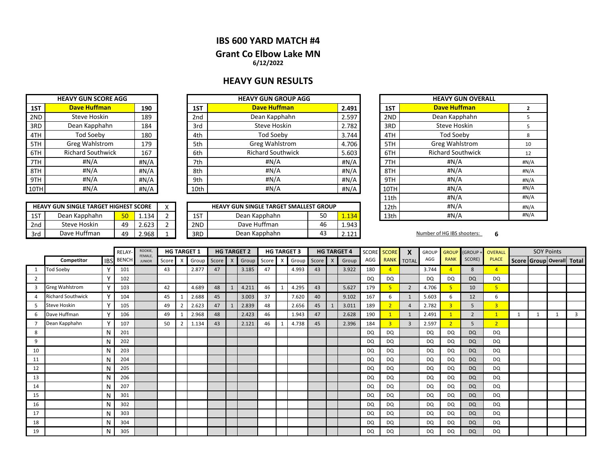# **IBS 600 YARD MATCH #4 Grant Co Elbow Lake MN 6/12/2022**

# **HEAVY GUN RESULTS**

| <b>HEAVY GUN SCORE AGG</b> |                          |      |  |  |  |  |  |  |  |  |  |
|----------------------------|--------------------------|------|--|--|--|--|--|--|--|--|--|
| 1ST                        | <b>Dave Huffman</b>      |      |  |  |  |  |  |  |  |  |  |
| 2ND                        | Steve Hoskin             | 189  |  |  |  |  |  |  |  |  |  |
| 3RD                        | Dean Kapphahn            | 184  |  |  |  |  |  |  |  |  |  |
| 4TH                        | <b>Tod Soeby</b>         | 180  |  |  |  |  |  |  |  |  |  |
| 5TH                        | <b>Greg Wahlstrom</b>    | 179  |  |  |  |  |  |  |  |  |  |
| 6TH                        | <b>Richard Southwick</b> | 167  |  |  |  |  |  |  |  |  |  |
| 7TH                        | #N/A                     | #N/A |  |  |  |  |  |  |  |  |  |
| 8TH                        | #N/A                     | #N/A |  |  |  |  |  |  |  |  |  |
| 9TH                        | #N/A                     | #N/A |  |  |  |  |  |  |  |  |  |
| 10TH                       | #N/A                     | #N/A |  |  |  |  |  |  |  |  |  |

|       | <b>HEAVY GUN GROUP AGG</b> |                 |              |                          |                            |  |  |  |  |  |  |  |
|-------|----------------------------|-----------------|--------------|--------------------------|----------------------------|--|--|--|--|--|--|--|
| 2.491 | <b>Dave Huffman</b>        | 1ST             | 190          | <b>Dave Huffman</b>      | 1ST                        |  |  |  |  |  |  |  |
| 2.597 | Dean Kapphahn              | 2 <sub>nd</sub> | 189          | Steve Hoskin             | 2ND                        |  |  |  |  |  |  |  |
| 2.782 | Steve Hoskin               | 3rd             | 184          | Dean Kapphahn            | 3RD                        |  |  |  |  |  |  |  |
| 3.744 | Tod Soeby                  | 4th             | 180          | Tod Soeby                | 4TH                        |  |  |  |  |  |  |  |
| 4.706 | Greg Wahlstrom             | 5th             | 179          | Greg Wahlstrom           | 5TH                        |  |  |  |  |  |  |  |
| 5.603 | <b>Richard Southwick</b>   | 6th             | 167          | <b>Richard Southwick</b> | 6TH                        |  |  |  |  |  |  |  |
| #N/A  | #N/A                       | 7th             | #N/A         | #N/A                     | 7TH                        |  |  |  |  |  |  |  |
| #N/A  | #N/A                       | 8th             | #N/A         | #N/A                     | 8TH                        |  |  |  |  |  |  |  |
| #N/A  | #N/A                       | 9th             | #N/A         | #N/A                     | 9TH                        |  |  |  |  |  |  |  |
| #N/A  | #N/A                       | #N/A            | #N/A<br>10TH |                          |                            |  |  |  |  |  |  |  |
|       |                            |                 | 10th         |                          | <b>HEAVY GUN SCORE AGG</b> |  |  |  |  |  |  |  |

|     | <b>HEAVY GUN SINGLE TARGET HIGHEST SCORE</b> |    |       | $\cdot$ |                 | <b>HEAVY GUN SINGLE TARGET SMALLEST GROUP</b> | 12th     | #N/A                  |      |                            |  |
|-----|----------------------------------------------|----|-------|---------|-----------------|-----------------------------------------------|----------|-----------------------|------|----------------------------|--|
| 1ST | Dean Kapphahn                                | 50 | 1.134 |         | 1ST             | Dean Kapphahn                                 | c٢<br>JU | $\sim$<br><u>.134</u> | 13th | #N/A                       |  |
| 2nd | Steve Hoskin                                 | 49 | 2.623 |         | 2 <sub>ND</sub> | Dave Huffman                                  | 46       | 1.943                 |      |                            |  |
| 3rd | Dave Huffman                                 | 49 | 2.968 |         | 3RD             | Dean Kapphahn                                 | 45       | 121<br>2.IZI          |      | Number of HG IBS shooters: |  |

| <b>HEAVY GUN GROUP AGG</b>      |       |       |     |                          | <b>HEAVY GUN OVERALL</b> |      |
|---------------------------------|-------|-------|-----|--------------------------|--------------------------|------|
| <b>Dave Huffman</b>             |       | 2.491 |     | 1ST                      | <b>Dave Huffman</b>      | 2    |
| Dean Kapphahn                   | 2.597 |       | 2ND | Dean Kapphahn            | 5                        |      |
| Steve Hoskin                    | 2.782 |       | 3RD | <b>Steve Hoskin</b>      | 5                        |      |
| <b>Tod Soeby</b>                |       | 3.744 |     | 4TH                      | <b>Tod Soeby</b>         | 8    |
| Greg Wahlstrom                  | 4.706 |       | 5TH | Greg Wahlstrom           | 10                       |      |
| <b>Richard Southwick</b>        | 5.603 |       | 6TH | <b>Richard Southwick</b> | 12                       |      |
| #N/A                            |       | #N/A  |     | 7TH                      | #N/A                     | #N/A |
| #N/A                            |       | #N/A  |     | 8TH                      | #N/A                     | #N/A |
| #N/A                            |       | #N/A  |     | 9TH                      | # $N/A$                  | #N/A |
| #N/A                            | #N/A  |       |     | 10TH                     | #N/A                     | #N/A |
|                                 |       |       |     | 11th                     | # $N/A$                  | #N/A |
| UN SINGLE TARGET SMALLEST GROUP |       |       |     | 12th                     | # $N/A$                  | #N/A |
| Dean Kapphahn<br>50<br>1.134    |       |       |     | 13th                     | # $N/A$                  | #N/A |
|                                 |       |       |     |                          |                          |      |

|    |                          |              | <b>RELAY</b> | ROOKIE,                  |       |   | <b>HG TARGET 1</b> |             |              | <b>HG TARGET 2</b> |    | <b>HG TARGET 3</b> |         | <b>HG TARGET 4</b> | SCORE     | <b>SCORE</b>            | $\boldsymbol{x}$ | <b>GROUP</b> | <b>GROUP</b>            | (GROUP+        | OVERALL        | <b>SOY Points</b> |                           |
|----|--------------------------|--------------|--------------|--------------------------|-------|---|--------------------|-------------|--------------|--------------------|----|--------------------|---------|--------------------|-----------|-------------------------|------------------|--------------|-------------------------|----------------|----------------|-------------------|---------------------------|
|    | Competitor               | <b>IBS</b>   | <b>BENCH</b> | FEMALE,<br><b>JUNIOR</b> | Score | X |                    | Group Score | $\mathsf{X}$ | Group Score X      |    | Group              | Score X | Group              | AGG       |                         | RANK TOTAL       | AGG          | <b>RANK</b>             | SCORE)         | <b>PLACE</b>   |                   | Score Group Overall Total |
|    | <b>Tod Soeby</b>         | v            | 101          |                          | 43    |   | 2.877              | 47          |              | 3.185              | 47 | 4.993              | 43      | 3.922              | 180       | $\overline{\mathbf{A}}$ |                  | 3.744        |                         | 8              | $\overline{4}$ |                   |                           |
| 2  |                          | Υ            | 102          |                          |       |   |                    |             |              |                    |    |                    |         |                    | DQ        | DQ                      |                  | <b>DQ</b>    | DQ                      | <b>DQ</b>      | DQ             |                   |                           |
| 3  | <b>Greg Wahlstrom</b>    | Υ            | 103          |                          | 42    |   | 4.689              | 48          |              | 4.211              | 46 | 4.295              | 43      | 5.627              | 179       | 5                       | $\overline{2}$   | 4.706        |                         | 10             | 5              |                   |                           |
|    | <b>Richard Southwick</b> | Y            | 104          |                          | 45    |   | 2.688              | 45          |              | 3.003              | 37 | 7.620              | 40      | 9.102              | 167       | 6                       | 1                | 5.603        | -6                      | 12             | 6              |                   |                           |
| 5. | <b>Steve Hoskin</b>      | $\mathsf{v}$ | 105          |                          | 49    |   | 2.623              | 47          |              | 2.839              | 48 | 2.656              | 45      | 3.011              | 189       | 2                       | $\overline{a}$   | 2.782        | $\overline{\mathbf{3}}$ | 5              | $\overline{3}$ |                   |                           |
| 6  | Dave Huffman             | Υ            | 106          |                          | 49    |   | 2.968              | 48          |              | 2.423              | 46 | 1.943              | 47      | 2.628              | 190       |                         | 1                | 2.491        |                         | $\overline{2}$ |                | 1                 |                           |
|    | Dean Kapphahn            | Υ            | 107          |                          | 50    |   | 1.134              | 43          |              | 2.121              | 46 | 4.738              | 45      | 2.396              | 184       | $\overline{3}$          | $\overline{3}$   | 2.597        |                         | 5              | $\overline{2}$ |                   |                           |
| 8  |                          | N            | 201          |                          |       |   |                    |             |              |                    |    |                    |         |                    | DQ        | DQ                      |                  | DQ           | <b>DQ</b>               | <b>DQ</b>      | DQ             |                   |                           |
| 9  |                          | N            | 202          |                          |       |   |                    |             |              |                    |    |                    |         |                    | DQ        | DQ                      |                  | <b>DQ</b>    | <b>DQ</b>               | <b>DQ</b>      | DQ             |                   |                           |
| 10 |                          | N            | 203          |                          |       |   |                    |             |              |                    |    |                    |         |                    | DQ        | DQ                      |                  | <b>DQ</b>    | DQ                      | <b>DQ</b>      | DQ             |                   |                           |
| 11 |                          | N            | 204          |                          |       |   |                    |             |              |                    |    |                    |         |                    | DQ        | <b>DQ</b>               |                  | <b>DQ</b>    | DQ                      | <b>DQ</b>      | DQ.            |                   |                           |
| 12 |                          | N            | 205          |                          |       |   |                    |             |              |                    |    |                    |         |                    | <b>DQ</b> | DQ                      |                  | DQ           | DQ                      | <b>DQ</b>      | DQ             |                   |                           |
| 13 |                          | N            | 206          |                          |       |   |                    |             |              |                    |    |                    |         |                    | <b>DQ</b> | DQ                      |                  | <b>DQ</b>    | DQ                      | <b>DQ</b>      | DQ             |                   |                           |
| 14 |                          | N            | 207          |                          |       |   |                    |             |              |                    |    |                    |         |                    | DQ        | DQ                      |                  | <b>DQ</b>    | DQ                      | <b>DQ</b>      | DQ             |                   |                           |
| 15 |                          | N            | 301          |                          |       |   |                    |             |              |                    |    |                    |         |                    | DQ        | DQ                      |                  | <b>DQ</b>    | DQ                      | <b>DQ</b>      | DQ             |                   |                           |
| 16 |                          | N            | 302          |                          |       |   |                    |             |              |                    |    |                    |         |                    | DQ        | DQ                      |                  | <b>DQ</b>    | DQ                      | <b>DQ</b>      | DQ             |                   |                           |
| 17 |                          | N            | 303          |                          |       |   |                    |             |              |                    |    |                    |         |                    | DQ        | DQ                      |                  | <b>DQ</b>    | DQ                      | <b>DQ</b>      | DQ             |                   |                           |
| 18 |                          | N            | 304          |                          |       |   |                    |             |              |                    |    |                    |         |                    | DQ        | DQ                      |                  | DQ.          | <b>DQ</b>               | <b>DQ</b>      | DQ             |                   |                           |
| 19 |                          | N            | 305          |                          |       |   |                    |             |              |                    |    |                    |         |                    | DQ        | DQ                      |                  | <b>DQ</b>    | DQ                      | <b>DQ</b>      | DQ             |                   |                           |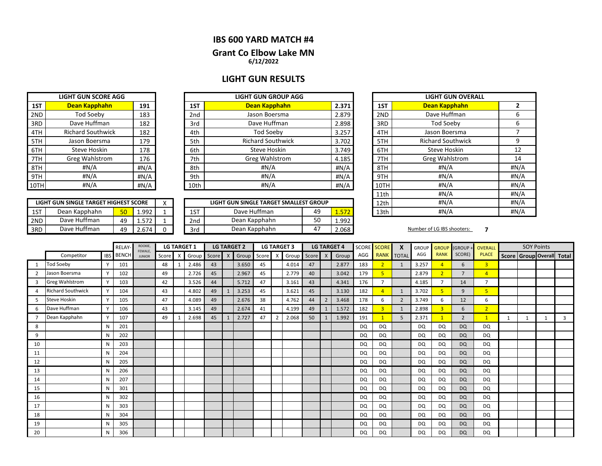### **IBS 600 YARD MATCH #4**

### **6/12/2022 Grant Co Elbow Lake MN**

### **LIGHT GUN RESULTS**

| <b>LIGHT GUN SCORE AGG</b> |                          |      |  |  |  |  |  |  |  |  |  |  |
|----------------------------|--------------------------|------|--|--|--|--|--|--|--|--|--|--|
| 1ST                        | Dean Kapphahn            |      |  |  |  |  |  |  |  |  |  |  |
| 2ND                        | <b>Tod Soeby</b>         | 183  |  |  |  |  |  |  |  |  |  |  |
| 3RD                        | Dave Huffman             | 182  |  |  |  |  |  |  |  |  |  |  |
| 4TH                        | <b>Richard Southwick</b> | 182  |  |  |  |  |  |  |  |  |  |  |
| 5TH                        | Jason Boersma            | 179  |  |  |  |  |  |  |  |  |  |  |
| 6TH                        | <b>Steve Hoskin</b>      | 178  |  |  |  |  |  |  |  |  |  |  |
| 7TH                        | <b>Greg Wahlstrom</b>    | 176  |  |  |  |  |  |  |  |  |  |  |
| 8TH                        | #N/A                     | #N/A |  |  |  |  |  |  |  |  |  |  |
| 9TH                        | #N/A                     | #N/A |  |  |  |  |  |  |  |  |  |  |
| 10TH                       | #N/A                     | #N/A |  |  |  |  |  |  |  |  |  |  |

|      | <b>LIGHT GUN SCORE AGG</b> | <b>LIGHT GUN GROUP AGG</b> |       |                 |                          |                  |      |  | <b>LIGHT GU</b>    |  |  |
|------|----------------------------|----------------------------|-------|-----------------|--------------------------|------------------|------|--|--------------------|--|--|
| 1ST  | Dean Kapphahn              | 191                        | 2.371 | 1ST             |                          | <b>Dean Kapp</b> |      |  |                    |  |  |
| 2ND  | Tod Soeby                  | 183                        |       | 2 <sub>nd</sub> | Jason Boersma            | 2.879            | 2ND  |  | Dave Huff          |  |  |
| 3RD  | Dave Huffman               | 182                        |       | 3rd             | Dave Huffman             | 2.898            | 3RD  |  | Tod Soe            |  |  |
| 4TH  | <b>Richard Southwick</b>   | 182                        |       | 4th             | Tod Soeby                | 3.257            | 4TH  |  | Jason Boe          |  |  |
| 5TH  | Jason Boersma              | 179                        |       | 5th             | <b>Richard Southwick</b> | 3.702            | 5TH  |  | <b>Richard Sou</b> |  |  |
| 6TH  | Steve Hoskin               | 178                        |       | 6th             | Steve Hoskin             | 3.749            | 6TH  |  | Steve Ho           |  |  |
| 7TH  | <b>Greg Wahlstrom</b>      | 176                        |       | 7th             | Greg Wahlstrom           | 4.185            | 7TH  |  | Greg Wahl          |  |  |
| 8TH  | #N/A                       | #N/A                       |       | 8th             | #N/A                     | #N/A             | 8TH  |  | #N/A               |  |  |
| 9TH  | #N/A                       | #N/A                       |       | 9th             | #N/A                     | #N/A             | 9TH  |  | #N/A               |  |  |
| 10TH | #N/A                       | #N/A                       |       | 10th            | #N/A                     | #N/A             | 10TH |  | #N/A               |  |  |

|     | LIGHT GUN SINGLE TARGET HIGHEST SCORE |           |               | $\lambda$ |                 | LIGHT GUN SINGLE TARGET SMALLEST GROUP |              | 12th  | #N/A |                            |  |
|-----|---------------------------------------|-----------|---------------|-----------|-----------------|----------------------------------------|--------------|-------|------|----------------------------|--|
| 1ST | Dean Kapphahn                         | 50        | 1.992         |           | $-$<br>∸∸       | Dave Huffman                           | 40           | 1.J/4 | 13th | #N/A                       |  |
| 2ND | Dave Huffman                          | י י<br>49 | ヒワウ<br>1.J/ 4 |           | 2 <sub>nd</sub> | Dean Kapphahn                          | $\sim$<br>JU | 1.992 |      |                            |  |
| 3RD | Dave Huffman                          | י י<br>4⊍ | 674           |           | 3rd             | Dean Kapphahn                          | ∸            | 2.068 |      | Number of LG IBS shooters: |  |

| <b>LIGHT GUN OVERALL</b> |                          |                |  |  |  |  |  |  |  |
|--------------------------|--------------------------|----------------|--|--|--|--|--|--|--|
| 1ST                      | Dean Kapphahn            | $\overline{2}$ |  |  |  |  |  |  |  |
| 2ND                      | Dave Huffman             | 6              |  |  |  |  |  |  |  |
| 3RD                      | <b>Tod Soeby</b>         | 6              |  |  |  |  |  |  |  |
| 4TH                      | Jason Boersma            | 7              |  |  |  |  |  |  |  |
| 5TH                      | <b>Richard Southwick</b> | 9              |  |  |  |  |  |  |  |
| 6TH                      | Steve Hoskin             | 12             |  |  |  |  |  |  |  |
| 7TH                      | Greg Wahlstrom           | 14             |  |  |  |  |  |  |  |
| 8TH                      | #N/A                     | #N/A           |  |  |  |  |  |  |  |
| 9TH                      | #N/A                     | #N/A           |  |  |  |  |  |  |  |
| 10TH                     | #N/A                     | #N/A           |  |  |  |  |  |  |  |
| 11th                     | #N/A                     | #N/A           |  |  |  |  |  |  |  |
| 12th                     | #N/A                     | #N/A           |  |  |  |  |  |  |  |
| 13th                     | #N/A                     | #N/A           |  |  |  |  |  |  |  |

|                |                          |              | RELAY     | ROOKIE,<br>FEMALE, |       |          | <b>LG TARGET 1</b> |               |   | <b>LG TARGET 2</b> |    |   | <b>LG TARGET 3</b> |    |                | <b>LG TARGET 4</b> | <b>SCORE</b> | <b>SCORE</b>   | X              | <b>GROUP</b> | <b>GROUP</b>            | (GROUP+        | <b>OVERALL</b> | <b>SOY Points</b> |                           |  |  |
|----------------|--------------------------|--------------|-----------|--------------------|-------|----------|--------------------|---------------|---|--------------------|----|---|--------------------|----|----------------|--------------------|--------------|----------------|----------------|--------------|-------------------------|----------------|----------------|-------------------|---------------------------|--|--|
|                | Competitor               |              | IBS BENCH | <b>JUNIOR</b>      | Score | $\times$ |                    | Group Score X |   | Group Score        |    | X | Group Score        |    | X              | Group              | AGG          | <b>RANK</b>    | <b>TOTAL</b>   | AGG          | <b>RANK</b>             | SCORE)         | <b>PLACE</b>   |                   | Score Group Overall Total |  |  |
|                | <b>Tod Soeby</b>         |              | 101       |                    | 48    |          | 2.486              | 43            |   | 3.650              | 45 |   | 4.014              | 47 |                | 2.877              | 183          | $\overline{2}$ | 1              | 3.257        | $\overline{4}$          | 6              | $\overline{3}$ |                   |                           |  |  |
| $\overline{2}$ | Jason Boersma            |              | 102       |                    | 49    |          | 2.726              | 45            |   | 2.967              | 45 |   | 2.779              | 40 |                | 3.042              | 179          | 5              |                | 2.879        | $\overline{2}$          | $\overline{7}$ | $\overline{4}$ |                   |                           |  |  |
| 3              | <b>Greg Wahlstrom</b>    | Y            | 103       |                    | 42    |          | 3.526              | 44            |   | 5.712              | 47 |   | 3.161              | 43 |                | 4.341              | 176          |                |                | 4.185        |                         | 14             | $\overline{7}$ |                   |                           |  |  |
|                | <b>Richard Southwick</b> | Y            | 104       |                    | 43    |          | 4.802              | 49            | 1 | 3.253              | 45 |   | 3.621              | 45 |                | 3.130              | 182          | $\overline{4}$ | 1              | 3.702        | 5                       | 9              | 5              |                   |                           |  |  |
| 5              | Steve Hoskin             | $\mathbf{v}$ | 105       |                    | 47    |          | 4.089              | 49            |   | 2.676              | 38 |   | 4.762              | 44 | $\overline{2}$ | 3.468              | 178          | 6              | $\overline{2}$ | 3.749        | 6                       | 12             | 6              |                   |                           |  |  |
| 6              | Dave Huffman             | Y            | 106       |                    | 43    |          | 3.145              | 49            |   | 2.674              | 41 |   | 4.199              | 49 | -1             | 1.572              | 182          | 3              | $\mathbf{1}$   | 2.898        | $\overline{\mathbf{3}}$ | 6              | $\overline{2}$ |                   |                           |  |  |
|                | Dean Kapphahn            | $\mathsf{v}$ | 107       |                    | 49    |          | 2.698              | 45            | 1 | 2.727              | 47 |   | 2.068              | 50 | $\mathbf{1}$   | 1.992              | 191          |                | 5              | 2.371        |                         | $\overline{2}$ |                | 1                 |                           |  |  |
| 8              |                          | N            | 201       |                    |       |          |                    |               |   |                    |    |   |                    |    |                |                    | DQ           | <b>DQ</b>      |                | DQ           | <b>DQ</b>               | <b>DQ</b>      | <b>DQ</b>      |                   |                           |  |  |
| 9              |                          | N            | 202       |                    |       |          |                    |               |   |                    |    |   |                    |    |                |                    | DQ           | <b>DQ</b>      |                | DQ           | <b>DQ</b>               | <b>DQ</b>      | <b>DQ</b>      |                   |                           |  |  |
| 10             |                          | N            | 203       |                    |       |          |                    |               |   |                    |    |   |                    |    |                |                    | DQ           | DQ             |                | DQ           | DQ                      | <b>DQ</b>      | DQ             |                   |                           |  |  |
| 11             |                          | N            | 204       |                    |       |          |                    |               |   |                    |    |   |                    |    |                |                    | DQ           | DQ             |                | DQ           | <b>DQ</b>               | <b>DQ</b>      | <b>DQ</b>      |                   |                           |  |  |
| 12             |                          | N            | 205       |                    |       |          |                    |               |   |                    |    |   |                    |    |                |                    | <b>DQ</b>    | DQ             |                | DQ           | <b>DQ</b>               | <b>DQ</b>      | DQ             |                   |                           |  |  |
| 13             |                          | N            | 206       |                    |       |          |                    |               |   |                    |    |   |                    |    |                |                    | DQ           | DQ             |                | DQ           | DQ                      | <b>DQ</b>      | DQ             |                   |                           |  |  |
| 14             |                          | N            | 207       |                    |       |          |                    |               |   |                    |    |   |                    |    |                |                    | DQ           | DQ             |                | DQ           | <b>DQ</b>               | <b>DQ</b>      | DQ             |                   |                           |  |  |
| 15             |                          | N            | 301       |                    |       |          |                    |               |   |                    |    |   |                    |    |                |                    | <b>DQ</b>    | <b>DQ</b>      |                | DQ           | <b>DQ</b>               | <b>DQ</b>      | DQ             |                   |                           |  |  |
| 16             |                          | N            | 302       |                    |       |          |                    |               |   |                    |    |   |                    |    |                |                    | DQ           | <b>DQ</b>      |                | DQ           | <b>DQ</b>               | <b>DQ</b>      | DQ             |                   |                           |  |  |
| 17             |                          | N            | 303       |                    |       |          |                    |               |   |                    |    |   |                    |    |                |                    | DQ           | <b>DQ</b>      |                | DQ           | <b>DQ</b>               | <b>DQ</b>      | <b>DQ</b>      |                   |                           |  |  |
| 18             |                          | N            | 304       |                    |       |          |                    |               |   |                    |    |   |                    |    |                |                    | DQ           | DQ             |                | DQ           | DQ                      | <b>DQ</b>      | DQ             |                   |                           |  |  |
| 19             |                          | N            | 305       |                    |       |          |                    |               |   |                    |    |   |                    |    |                |                    | DQ           | <b>DQ</b>      |                | DQ           | <b>DQ</b>               | <b>DQ</b>      | <b>DQ</b>      |                   |                           |  |  |
| 20             |                          | N            | 306       |                    |       |          |                    |               |   |                    |    |   |                    |    |                |                    | DQ           | <b>DQ</b>      |                | DQ           | <b>DQ</b>               | <b>DQ</b>      | <b>DQ</b>      |                   |                           |  |  |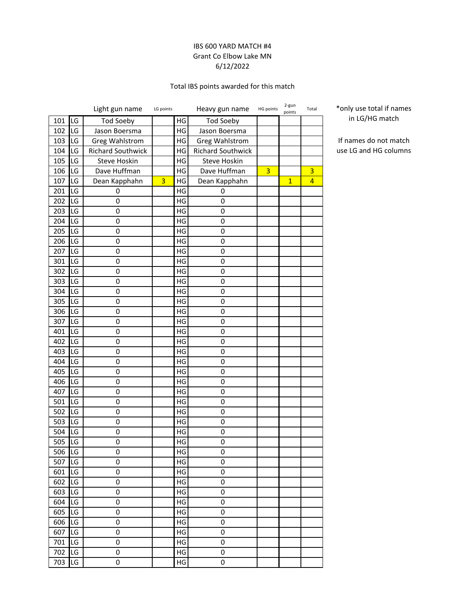### IBS 600 YARD MATCH #4 Grant Co Elbow Lake MN 6/12/2022

## Total IBS points awarded for this match

|     |    | Light gun name           | LG points      |    | Heavy gun name      | HG points | 2-gun<br>points | Total          |
|-----|----|--------------------------|----------------|----|---------------------|-----------|-----------------|----------------|
| 101 | LG | <b>Tod Soeby</b>         |                | HG | <b>Tod Soeby</b>    |           |                 |                |
| 102 | LG | Jason Boersma            |                | HG | Jason Boersma       |           |                 |                |
| 103 | LG | Greg Wahlstrom           |                | HG | Greg Wahlstrom      |           |                 |                |
| 104 | LG | <b>Richard Southwick</b> |                | HG | Richard Southwick   |           |                 |                |
| 105 | LG | Steve Hoskin             |                | HG | <b>Steve Hoskin</b> |           |                 |                |
| 106 | LG | Dave Huffman             |                | HG | Dave Huffman        | 3         |                 | 3              |
| 107 | LG | Dean Kapphahn            | $\overline{3}$ | HG | Dean Kapphahn       |           | $\overline{1}$  | $\overline{4}$ |
| 201 | LG | 0                        |                | HG | 0                   |           |                 |                |
| 202 | LG | 0                        |                | HG | 0                   |           |                 |                |
| 203 | LG | 0                        |                | HG | 0                   |           |                 |                |
| 204 | LG | 0                        |                | HG | 0                   |           |                 |                |
| 205 | LG | 0                        |                | HG | 0                   |           |                 |                |
| 206 | LG | $\boldsymbol{0}$         |                | HG | 0                   |           |                 |                |
| 207 | LG | 0                        |                | HG | $\pmb{0}$           |           |                 |                |
| 301 | LG | $\mathbf 0$              |                | HG | 0                   |           |                 |                |
| 302 | LG | 0                        |                | HG | 0                   |           |                 |                |
| 303 | LG | $\mathbf 0$              |                | HG | $\pmb{0}$           |           |                 |                |
| 304 | LG | $\mathbf 0$              |                | HG | 0                   |           |                 |                |
| 305 | LG | 0                        |                | HG | 0                   |           |                 |                |
| 306 | LG | 0                        |                | HG | 0                   |           |                 |                |
| 307 | LG | 0                        |                | HG | 0                   |           |                 |                |
| 401 | LG | 0                        |                | HG | 0                   |           |                 |                |
| 402 | LG | $\mathbf 0$              |                | HG | 0                   |           |                 |                |
| 403 | LG | 0                        |                | HG | 0                   |           |                 |                |
| 404 | LG | $\mathbf 0$              |                | HG | 0                   |           |                 |                |
| 405 | LG | 0                        |                | HG | 0                   |           |                 |                |
| 406 | LG | $\mathbf 0$              |                | HG | $\pmb{0}$           |           |                 |                |
| 407 | LG | $\mathbf 0$              |                | HG | 0                   |           |                 |                |
| 501 | LG | 0                        |                | HG | 0                   |           |                 |                |
| 502 | LG | 0                        |                | HG | 0                   |           |                 |                |
| 503 | LG | 0                        |                | HG | 0                   |           |                 |                |
| 504 | LG | 0                        |                | ΗG | 0                   |           |                 |                |
| 505 | LG | $\mathbf 0$              |                | HG | 0                   |           |                 |                |
| 506 | LG | $\mathbf 0$              |                | HG | 0                   |           |                 |                |
| 507 | LG | $\mathsf 0$              |                | HG | $\pmb{0}$           |           |                 |                |
| 601 | LG | 0                        |                | HG | 0                   |           |                 |                |
| 602 | LG | 0                        |                | HG | $\pmb{0}$           |           |                 |                |
| 603 | LG | $\mathsf{O}\xspace$      |                | HG | 0                   |           |                 |                |
| 604 | LG | 0                        |                | HG | 0                   |           |                 |                |
| 605 | LG | 0                        |                | HG | $\pmb{0}$           |           |                 |                |
| 606 | LG | $\mathsf 0$              |                | HG | 0                   |           |                 |                |
| 607 | LG | $\pmb{0}$                |                | HG | $\pmb{0}$           |           |                 |                |
| 701 | LG | $\mathsf 0$              |                | HG | 0                   |           |                 |                |
| 702 | LG | 0                        |                | HG | 0                   |           |                 |                |
| 703 | LG | 0                        |                | HG | 0                   |           |                 |                |

\*only use total if names in LG/HG match

If names do not match use LG and HG columns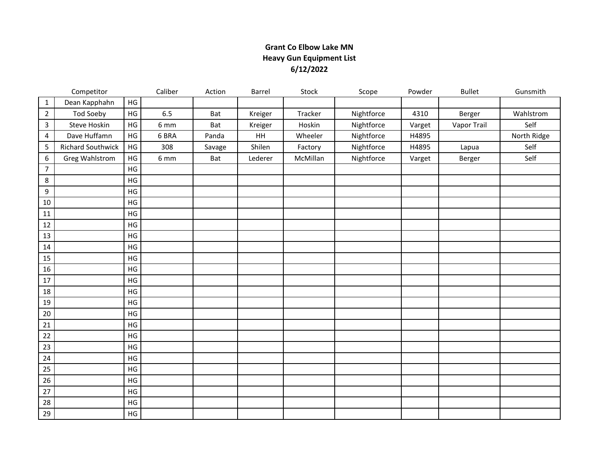# **Grant Co Elbow Lake MN Heavy Gun Equipment List 6/12/2022**

|                | Competitor               |               | Caliber | Action | Barrel  | Stock    | Scope      | Powder | <b>Bullet</b> | Gunsmith    |
|----------------|--------------------------|---------------|---------|--------|---------|----------|------------|--------|---------------|-------------|
| $\mathbf{1}$   | Dean Kapphahn            | HG            |         |        |         |          |            |        |               |             |
| $\overline{2}$ | Tod Soeby                | HG            | 6.5     | Bat    | Kreiger | Tracker  | Nightforce | 4310   | Berger        | Wahlstrom   |
| 3              | <b>Steve Hoskin</b>      | HG            | 6 mm    | Bat    | Kreiger | Hoskin   | Nightforce | Varget | Vapor Trail   | Self        |
| 4              | Dave Huffamn             | HG            | 6 BRA   | Panda  | HH      | Wheeler  | Nightforce | H4895  |               | North Ridge |
| 5              | <b>Richard Southwick</b> | HG            | 308     | Savage | Shilen  | Factory  | Nightforce | H4895  | Lapua         | Self        |
| 6              | Greg Wahlstrom           | HG            | 6 mm    | Bat    | Lederer | McMillan | Nightforce | Varget | Berger        | Self        |
| $\overline{7}$ |                          | HG            |         |        |         |          |            |        |               |             |
| 8              |                          | HG            |         |        |         |          |            |        |               |             |
| 9              |                          | HG            |         |        |         |          |            |        |               |             |
| 10             |                          | HG            |         |        |         |          |            |        |               |             |
| 11             |                          | HG            |         |        |         |          |            |        |               |             |
| 12             |                          | $\mathsf{HG}$ |         |        |         |          |            |        |               |             |
| 13             |                          | $\mathsf{HG}$ |         |        |         |          |            |        |               |             |
| 14             |                          | HG            |         |        |         |          |            |        |               |             |
| 15             |                          | HG            |         |        |         |          |            |        |               |             |
| 16             |                          | HG            |         |        |         |          |            |        |               |             |
| 17             |                          | HG            |         |        |         |          |            |        |               |             |
| 18             |                          | HG            |         |        |         |          |            |        |               |             |
| 19             |                          | HG            |         |        |         |          |            |        |               |             |
| 20             |                          | HG            |         |        |         |          |            |        |               |             |
| 21             |                          | HG            |         |        |         |          |            |        |               |             |
| 22             |                          | HG            |         |        |         |          |            |        |               |             |
| 23             |                          | HG            |         |        |         |          |            |        |               |             |
| 24             |                          | HG            |         |        |         |          |            |        |               |             |
| 25             |                          | $\mathsf{HG}$ |         |        |         |          |            |        |               |             |
| 26             |                          | HG            |         |        |         |          |            |        |               |             |
| 27             |                          | HG            |         |        |         |          |            |        |               |             |
| 28             |                          | $\mathsf{HG}$ |         |        |         |          |            |        |               |             |
| 29             |                          | $\mathsf{HG}$ |         |        |         |          |            |        |               |             |